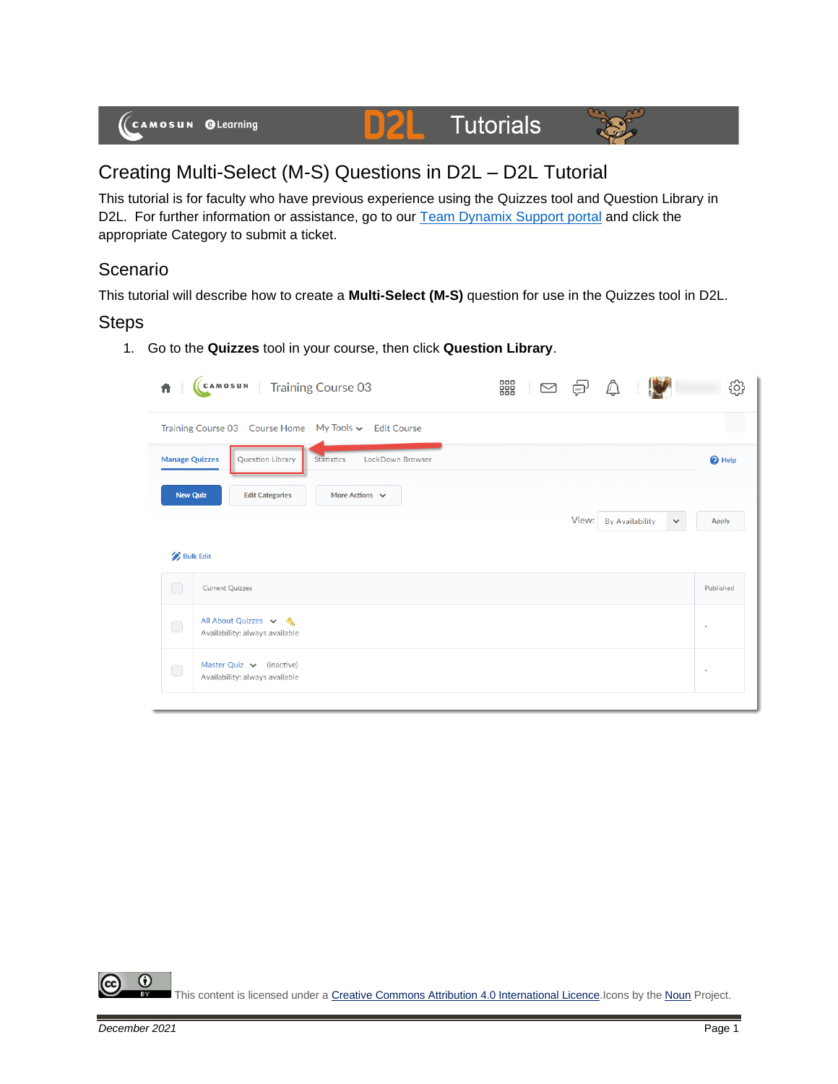

# Creating Multi-Select (M-S) Questions in D2L – D2L Tutorial

This tutorial is for faculty who have previous experience using the Quizzes tool and Question Library in D2L. For further information or assistance, go to our **Team Dynamix Support portal** and click the appropriate Category to submit a ticket.

# Scenario

This tutorial will describe how to create a **Multi-Select (M-S)** question for use in the Quizzes tool in D2L.

### Steps

1. Go to the **Quizzes** tool in your course, then click **Question Library**.

| 青                     | CAMOSUN Training Course 03                                      | 器 10 0 0 |       |                        |                              |
|-----------------------|-----------------------------------------------------------------|----------|-------|------------------------|------------------------------|
|                       | Training Course 03 Course Home My Tools v Edit Course           |          |       |                        | $\mathcal{L}_{\text{c}}$     |
| <b>Manage Quizzes</b> | LockDown Browser<br>Question Library<br>Statistics              |          |       |                        | <sup>O</sup> Help            |
| <b>New Quiz</b>       | More Actions $\vee$<br><b>Edit Categories</b>                   |          |       |                        |                              |
|                       |                                                                 |          | View: | <b>By Availability</b> | <b>Apply</b><br>$\checkmark$ |
| <b>Bulk Edit</b>      |                                                                 |          |       |                        |                              |
| $\Box$                | <b>Current Quizzes</b>                                          |          |       |                        | Published                    |
| $\bigcirc$            | All About Quizzes v &<br>Availability: always available         |          |       |                        | $\blacksquare$               |
| $\bigcirc$            | Master Quiz $\vee$ (inactive)<br>Availability: always available |          |       |                        |                              |
|                       |                                                                 |          |       |                        |                              |

0 This content is licensed under [a Creative Commons Attribution 4.0 International Licence.I](https://creativecommons.org/licenses/by/4.0/)cons by the [Noun](https://creativecommons.org/website-icons/) Project.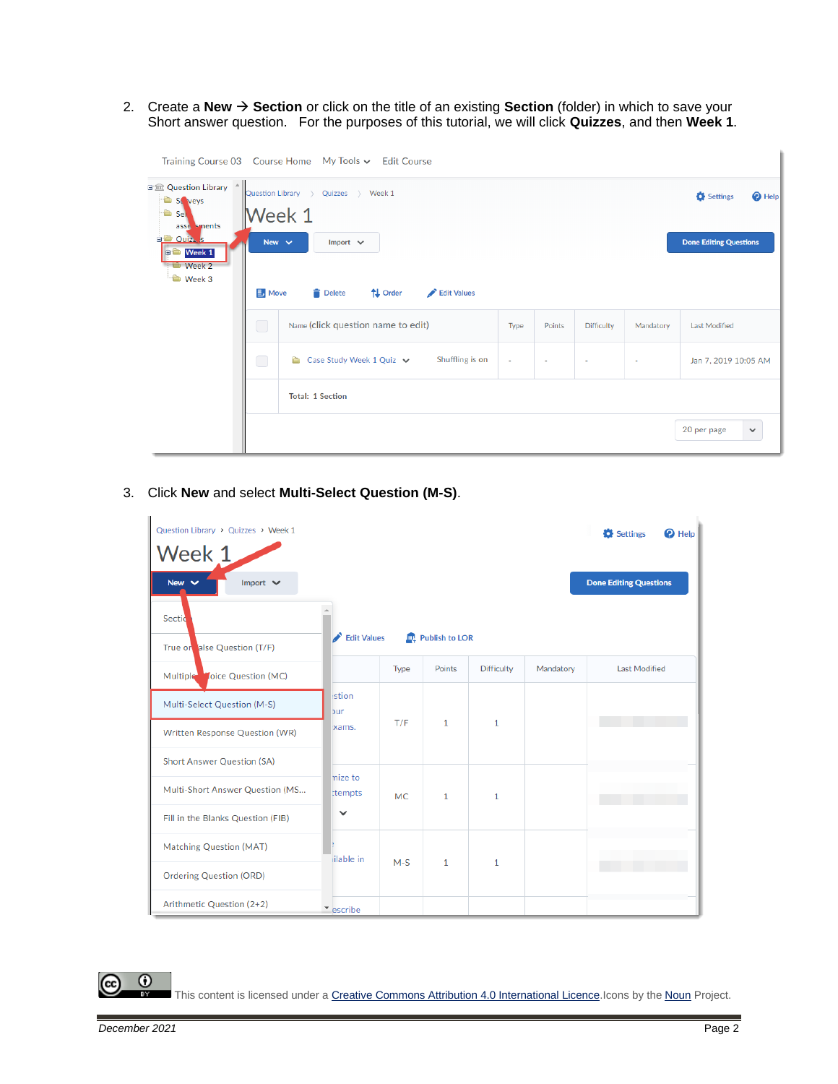2. Create a **New** → **Section** or click on the title of an existing **Section** (folder) in which to save your Short answer question. For the purposes of this tutorial, we will click **Quizzes**, and then **Week 1**.

|                                                                                                                                                        |                                            | Training Course 03 Course Home My Tools v Edit Course          |        |        |                          |           |                             |
|--------------------------------------------------------------------------------------------------------------------------------------------------------|--------------------------------------------|----------------------------------------------------------------|--------|--------|--------------------------|-----------|-----------------------------|
| 日金 Question Library 4<br>Ò<br>St veys<br>$\bullet$ Sely<br>asse sments<br><b>ED</b> Ouiz <sub>A</sub> <sub>S</sub><br><b>D</b> Week 1<br><b>Week 2</b> | Question Library ><br>Week 1<br>New $\sim$ | Settings<br><sup>O</sup> Help<br><b>Done Editing Questions</b> |        |        |                          |           |                             |
| <b>Week 3</b>                                                                                                                                          | <b>B</b> Move                              | <b>Delete</b><br>↑↓ Order<br>Edit Values                       |        |        |                          |           |                             |
|                                                                                                                                                        | $\bigcirc$                                 | Name (click question name to edit)                             | Type   | Points | <b>Difficulty</b>        | Mandatory | <b>Last Modified</b>        |
|                                                                                                                                                        | $\bigcirc$                                 | Shuffling is on<br>Case Study Week 1 Quiz v<br>a a             | $\sim$ |        | $\overline{\phantom{a}}$ | ٠         | Jan 7, 2019 10:05 AM        |
|                                                                                                                                                        |                                            | <b>Total: 1 Section</b>                                        |        |        |                          |           |                             |
|                                                                                                                                                        |                                            |                                                                |        |        |                          |           | 20 per page<br>$\checkmark$ |

3. Click **New** and select **Multi-Select Question (M-S)**.

| Question Library > Quizzes > Week 1<br>Week 1 |                    |           |                     |                   |           | Settings<br>$\boldsymbol{\Omega}$ Help |
|-----------------------------------------------|--------------------|-----------|---------------------|-------------------|-----------|----------------------------------------|
| Import $\vee$<br>New $\vee$<br>Sectio         | Edit Values        |           | Publish to LOR      |                   |           | <b>Done Editing Questions</b>          |
| True or alse Question (T/F)                   |                    |           |                     |                   |           |                                        |
| loice Question (MC)<br>Multiple               |                    | Type      | Points              | <b>Difficulty</b> | Mandatory | <b>Last Modified</b>                   |
| Multi-Select Question (M-S)                   | stion<br>bur       |           |                     |                   |           |                                        |
| Written Response Question (WR)                | xams.              |           | T/F<br>$\mathbf{1}$ | $\mathbf{1}$      |           |                                        |
| <b>Short Answer Question (SA)</b>             |                    |           |                     |                   |           |                                        |
| Multi-Short Answer Question (MS               | mize to<br>ttempts | <b>MC</b> | $\mathbf{1}$        | $\mathbf{1}$      |           |                                        |
| Fill in the Blanks Question (FIB)             | $\checkmark$       |           |                     |                   |           |                                        |
| <b>Matching Question (MAT)</b>                | lilable in         | $M-S$     |                     | $\mathbf{1}$      |           |                                        |
| <b>Ordering Question (ORD)</b>                |                    |           | 1                   |                   |           |                                        |
| Arithmetic Question (2+2)                     | escribe            |           |                     |                   |           |                                        |



This content is licensed under [a Creative Commons Attribution 4.0 International Licence.I](https://creativecommons.org/licenses/by/4.0/)cons by the [Noun](https://creativecommons.org/website-icons/) Project.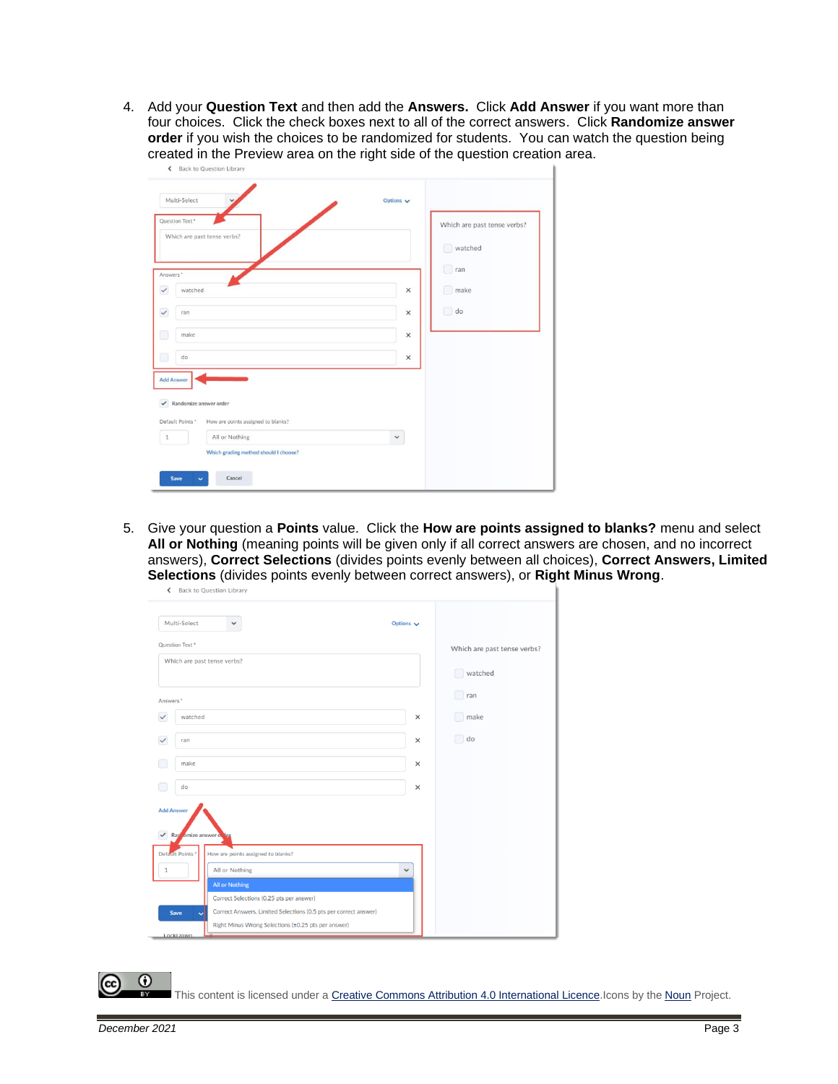4. Add your **Question Text** and then add the **Answers.** Click **Add Answer** if you want more than four choices. Click the check boxes next to all of the correct answers. Click **Randomize answer order** if you wish the choices to be randomized for students. You can watch the question being created in the Preview area on the right side of the question creation area.

| Multi-Select                                 |                                       | Options $\vee$ |                             |
|----------------------------------------------|---------------------------------------|----------------|-----------------------------|
| Question Text*                               |                                       |                | Which are past tense verbs? |
|                                              | Which are past tense verbs?           |                | watched                     |
| Answers *                                    |                                       |                | ran                         |
| watched<br>$\checkmark$                      |                                       | ×              | make                        |
| $\checkmark$<br>ran                          |                                       | $\times$       | do                          |
| make                                         |                                       | $\times$       |                             |
| Œ<br>do                                      |                                       | ×              |                             |
| <b>Add Answer</b>                            |                                       |                |                             |
| $\blacktriangleright$ Randomize answer order |                                       |                |                             |
| Default Points *                             | How are points assigned to blanks?    |                |                             |
| $\,$ 1                                       | All or Nothing                        | v              |                             |
|                                              | Which grading method should I choose? |                |                             |

5. Give your question a **Points** value. Click the **How are points assigned to blanks?** menu and select **All or Nothing** (meaning points will be given only if all correct answers are chosen, and no incorrect answers), **Correct Selections** (divides points evenly between all choices), **Correct Answers, Limited Selections** (divides points evenly between correct answers), or **Right Minus Wrong**.

| Multi-Select                                             | $\checkmark$                                                                                                 | Options $\vee$ |                             |
|----------------------------------------------------------|--------------------------------------------------------------------------------------------------------------|----------------|-----------------------------|
| Question Text*                                           |                                                                                                              |                | Which are past tense verbs? |
| Which are past tense verbs?                              |                                                                                                              |                | watched                     |
| Answers*                                                 |                                                                                                              |                | ran                         |
| watched<br>$\checkmark$                                  |                                                                                                              | $\times$       | make                        |
| ran<br>$\checkmark$                                      |                                                                                                              | ×              | $\Box$ do                   |
| make                                                     |                                                                                                              | ×              |                             |
| do                                                       |                                                                                                              | ×              |                             |
| <b>Add Answer</b><br>Rap omize answer of<br>$\checkmark$ | 'ler                                                                                                         |                |                             |
|                                                          |                                                                                                              |                |                             |
| Default Points *                                         | How are points assigned to blanks?                                                                           |                |                             |
| $\mathbf{1}$                                             | All or Nothing                                                                                               | $\checkmark$   |                             |
|                                                          | All or Nothing                                                                                               |                |                             |
|                                                          | Correct Selections (0.25 pts per answer)<br>Correct Answers, Limited Selections (0.5 pts per correct answer) |                |                             |

This content is licensed under [a Creative Commons Attribution 4.0 International Licence.I](https://creativecommons.org/licenses/by/4.0/)cons by the [Noun](https://creativecommons.org/website-icons/) Project.

0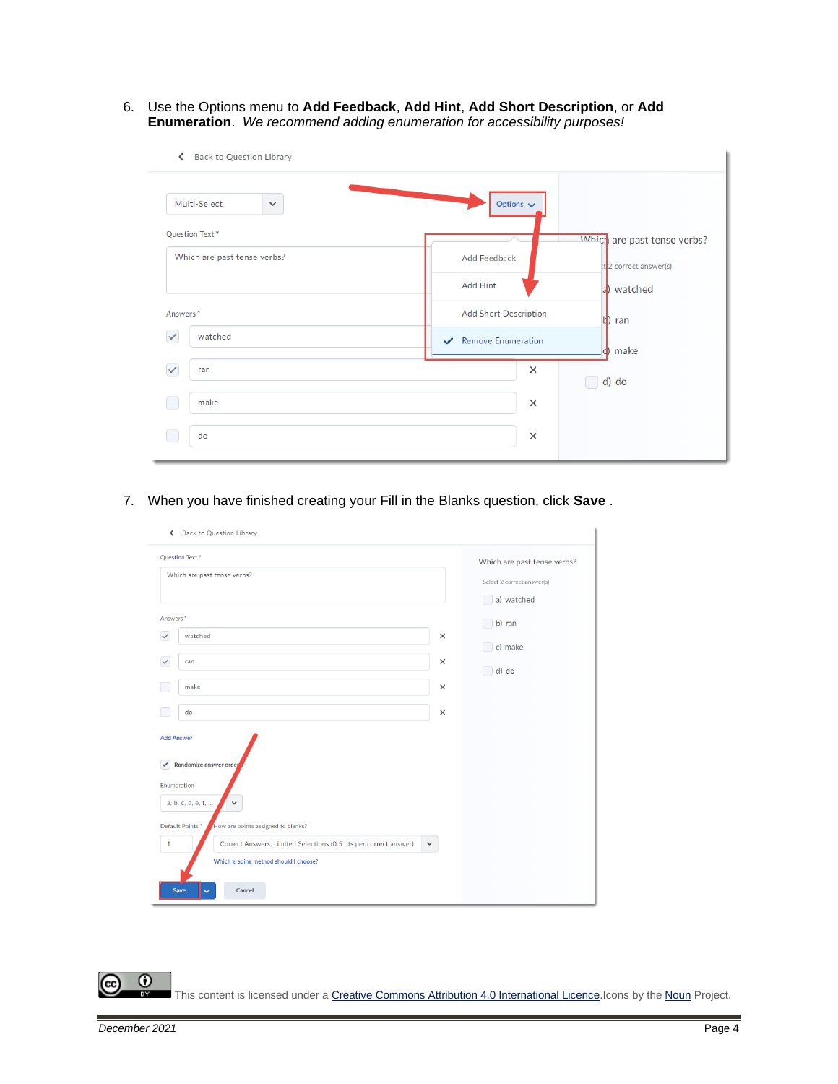6. Use the Options menu to **Add Feedback**, **Add Hint**, **Add Short Description**, or **Add Enumeration**. *We recommend adding enumeration for accessibility purposes!*

| Back to Question Library<br>∢ |                               |                             |
|-------------------------------|-------------------------------|-----------------------------|
| Multi-Select<br>$\checkmark$  | Options $\blacktriangleright$ |                             |
| <b>Question Text*</b>         |                               | Which are past tense verbs? |
| Which are past tense verbs?   | Add Feedback                  | t 2 correct answer(s)       |
|                               | Add Hint                      | a) watched                  |
| Answers <sup>*</sup>          | <b>Add Short Description</b>  | ran<br>и                    |
| $\checkmark$<br>watched       | Remove Enumeration            | make<br>d                   |
| $\checkmark$<br>ran           | $\times$                      | d) do                       |
| make                          | $\times$                      |                             |
| do                            | ×                             |                             |
|                               |                               |                             |

7. When you have finished creating your Fill in the Blanks question, click **Save** .

| ← Back to Question Library                                                                                                                                        |                                                                         |                  |
|-------------------------------------------------------------------------------------------------------------------------------------------------------------------|-------------------------------------------------------------------------|------------------|
| Question Text*<br>Which are past tense verbs?                                                                                                                     | Which are past tense verbs?<br>Select 2 correct answer(s)<br>a) watched |                  |
| Answers <sup>*</sup><br>$\checkmark$<br>watched                                                                                                                   | $\times$                                                                | b) ran           |
| $\checkmark$<br>ran                                                                                                                                               | ×                                                                       | c) make<br>d) do |
| make                                                                                                                                                              | $\times$                                                                |                  |
| do                                                                                                                                                                | $\times$                                                                |                  |
| <b>Add Answer</b><br>Randomize answer order<br>$\checkmark$<br>Enumeration<br>a, b, c, d, e, f,<br>$\checkmark$                                                   |                                                                         |                  |
| Default Points*<br>How are points assigned to blanks?                                                                                                             |                                                                         |                  |
| Correct Answers, Limited Selections (0.5 pts per correct answer)<br>$\mathbf 1$<br>Which grading method should I choose?<br><b>Save</b><br>Cancel<br>$\checkmark$ | $\checkmark$                                                            |                  |

 $\odot$ This content is licensed under [a Creative Commons Attribution 4.0 International Licence.I](https://creativecommons.org/licenses/by/4.0/)cons by the [Noun](https://creativecommons.org/website-icons/) Project.